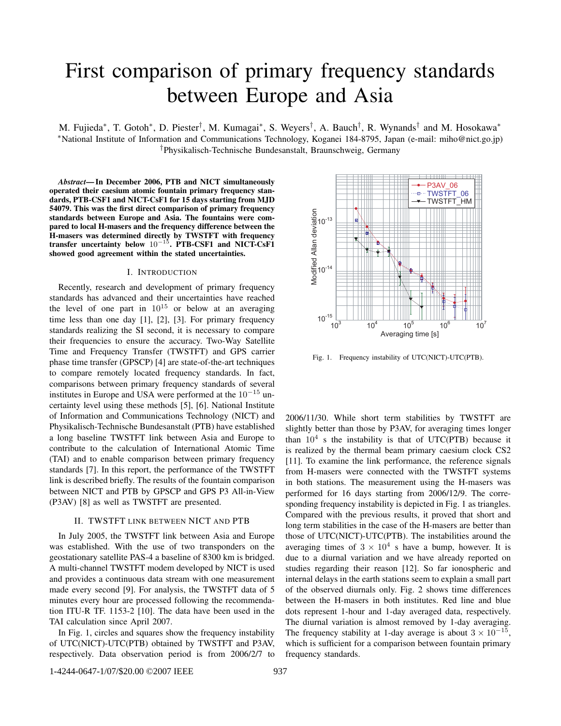# First comparison of primary frequency standards between Europe and Asia

M. Fujieda*∗* , T. Gotoh*∗* , D. Piester*†* , M. Kumagai*∗* , S. Weyers*†* , A. Bauch*†* , R. Wynands*†* and M. Hosokawa*∗ ∗*National Institute of Information and Communications Technology, Koganei 184-8795, Japan (e-mail: miho@nict.go.jp) *†*Physikalisch-Technische Bundesanstalt, Braunschweig, Germany

*Abstract*— In December 2006, PTB and NICT simultaneously operated their caesium atomic fountain primary frequency standards, PTB-CSF1 and NICT-CsF1 for 15 days starting from MJD 54079. This was the first direct comparison of primary frequency standards between Europe and Asia. The fountains were compared to local H-masers and the frequency difference between the H-masers was determined directly by TWSTFT with frequency transfer uncertainty below 10*−*<sup>15</sup>. PTB-CSF1 and NICT-CsF1 showed good agreement within the stated uncertainties.

#### I. INTRODUCTION

Recently, research and development of primary frequency standards has advanced and their uncertainties have reached the level of one part in  $10^{15}$  or below at an averaging time less than one day [1], [2], [3]. For primary frequency standards realizing the SI second, it is necessary to compare their frequencies to ensure the accuracy. Two-Way Satellite Time and Frequency Transfer (TWSTFT) and GPS carrier phase time transfer (GPSCP) [4] are state-of-the-art techniques to compare remotely located frequency standards. In fact, comparisons between primary frequency standards of several institutes in Europe and USA were performed at the 10*−*<sup>15</sup> uncertainty level using these methods [5], [6]. National Institute of Information and Communications Technology (NICT) and Physikalisch-Technische Bundesanstalt (PTB) have established a long baseline TWSTFT link between Asia and Europe to contribute to the calculation of International Atomic Time (TAI) and to enable comparison between primary frequency standards [7]. In this report, the performance of the TWSTFT link is described briefly. The results of the fountain comparison between NICT and PTB by GPSCP and GPS P3 All-in-View (P3AV) [8] as well as TWSTFT are presented.

### II. TWSTFT LINK BETWEEN NICT AND PTB

In July 2005, the TWSTFT link between Asia and Europe was established. With the use of two transponders on the geostationary satellite PAS-4 a baseline of 8300 km is bridged. A multi-channel TWSTFT modem developed by NICT is used and provides a continuous data stream with one measurement made every second [9]. For analysis, the TWSTFT data of 5 minutes every hour are processed following the recommendation ITU-R TF. 1153-2 [10]. The data have been used in the TAI calculation since April 2007.

In Fig. 1, circles and squares show the frequency instability of UTC(NICT)-UTC(PTB) obtained by TWSTFT and P3AV, respectively. Data observation period is from 2006/2/7 to



Fig. 1. Frequency instability of UTC(NICT)-UTC(PTB).

2006/11/30. While short term stabilities by TWSTFT are slightly better than those by P3AV, for averaging times longer than  $10^4$  s the instability is that of UTC(PTB) because it is realized by the thermal beam primary caesium clock CS2 [11]. To examine the link performance, the reference signals from H-masers were connected with the TWSTFT systems in both stations. The measurement using the H-masers was performed for 16 days starting from 2006/12/9. The corresponding frequency instability is depicted in Fig. 1 as triangles. Compared with the previous results, it proved that short and long term stabilities in the case of the H-masers are better than those of UTC(NICT)-UTC(PTB). The instabilities around the averaging times of  $3 \times 10^4$  s have a bump, however. It is due to a diurnal variation and we have already reported on studies regarding their reason [12]. So far ionospheric and internal delays in the earth stations seem to explain a small part of the observed diurnals only. Fig. 2 shows time differences between the H-masers in both institutes. Red line and blue dots represent 1-hour and 1-day averaged data, respectively. The diurnal variation is almost removed by 1-day averaging. The frequency stability at 1-day average is about  $3 \times 10^{-15}$ , which is sufficient for a comparison between fountain primary frequency standards.

1-4244-0647-1/07/\$20.00 ©2007 IEEE 937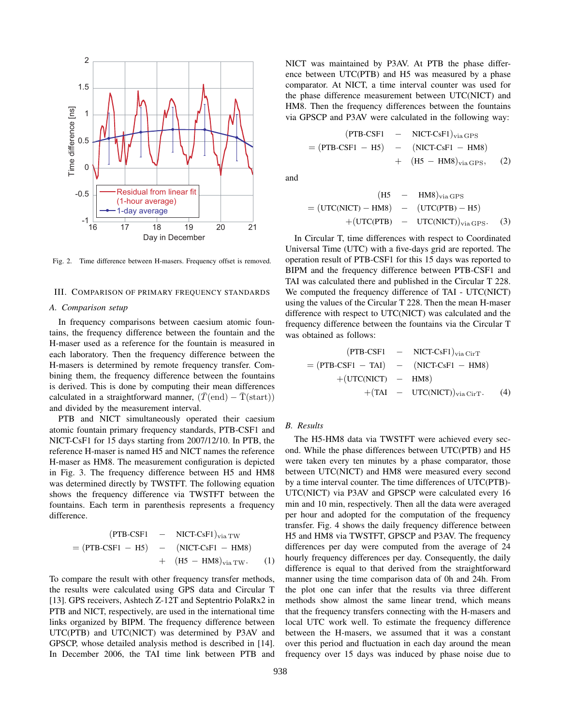

Fig. 2. Time difference between H-masers. Frequency offset is removed.

## III. COMPARISON OF PRIMARY FREQUENCY STANDARDS

# *A. Comparison setup*

In frequency comparisons between caesium atomic fountains, the frequency difference between the fountain and the H-maser used as a reference for the fountain is measured in each laboratory. Then the frequency difference between the H-masers is determined by remote frequency transfer. Combining them, the frequency difference between the fountains is derived. This is done by computing their mean differences calculated in a straightforward manner,  $(\overline{T}(\text{end}) - \overline{T}(\text{start}))$ and divided by the measurement interval.

PTB and NICT simultaneously operated their caesium atomic fountain primary frequency standards, PTB-CSF1 and NICT-CsF1 for 15 days starting from 2007/12/10. In PTB, the reference H-maser is named H5 and NICT names the reference H-maser as HM8. The measurement configuration is depicted in Fig. 3. The frequency difference between H5 and HM8 was determined directly by TWSTFT. The following equation shows the frequency difference via TWSTFT between the fountains. Each term in parenthesis represents a frequency difference.

$$
(\text{PTB-CSF1} - \text{NICT-CsF1})_{\text{via TW}}
$$

$$
= (\text{PTB-CSF1} - \text{H5}) - (\text{NICT-CsF1} - \text{HM8}) + (\text{H5} - \text{HM8})_{\text{via TW}}.
$$
 (1)

To compare the result with other frequency transfer methods, the results were calculated using GPS data and Circular T [13]. GPS receivers, Ashtech Z-12T and Septentrio PolaRx2 in PTB and NICT, respectively, are used in the international time links organized by BIPM. The frequency difference between UTC(PTB) and UTC(NICT) was determined by P3AV and GPSCP, whose detailed analysis method is described in [14]. In December 2006, the TAI time link between PTB and NICT was maintained by P3AV. At PTB the phase difference between UTC(PTB) and H5 was measured by a phase comparator. At NICT, a time interval counter was used for the phase difference measurement between UTC(NICT) and HM8. Then the frequency differences between the fountains via GPSCP and P3AV were calculated in the following way:

$$
(\text{PTB-CSF1} - \text{NICT-CsF1})_{\text{via GPS}}
$$

$$
= (\text{PTB-CSF1} - \text{H5}) - (\text{NICT-CsF1} - \text{HMS}) + (\text{H5} - \text{HMS})_{\text{via GPS}}, \quad (2)
$$

and

$$
(H5 - HMS)_{via GPS}
$$
  
= (UTC(NICT) - HMS) - (UTC(PTB) - H5)  
+ (UTC(PTB) - UTC(NICT))\_{via GPS}. (3)

In Circular T, time differences with respect to Coordinated Universal Time (UTC) with a five-days grid are reported. The operation result of PTB-CSF1 for this 15 days was reported to BIPM and the frequency difference between PTB-CSF1 and TAI was calculated there and published in the Circular T 228. We computed the frequency difference of TAI - UTC(NICT) using the values of the Circular T 228. Then the mean H-maser difference with respect to UTC(NICT) was calculated and the frequency difference between the fountains via the Circular T was obtained as follows:

$$
(\text{PTB-CSF1} - \text{NICT-CsF1})_{\text{via CirT}}
$$
\n
$$
= (\text{PTB-CSF1} - \text{TAI}) - (\text{NICT-CsF1} - \text{HM8})
$$
\n
$$
+ (\text{UTC(NICT)} - \text{HM8})
$$
\n
$$
+ (\text{TAI} - \text{UTC(NICT)})_{\text{via CirT}}.
$$
\n(4)

#### *B. Results*

The H5-HM8 data via TWSTFT were achieved every second. While the phase differences between UTC(PTB) and H5 were taken every ten minutes by a phase comparator, those between UTC(NICT) and HM8 were measured every second by a time interval counter. The time differences of UTC(PTB)- UTC(NICT) via P3AV and GPSCP were calculated every 16 min and 10 min, respectively. Then all the data were averaged per hour and adopted for the computation of the frequency transfer. Fig. 4 shows the daily frequency difference between H5 and HM8 via TWSTFT, GPSCP and P3AV. The frequency differences per day were computed from the average of 24 hourly frequency differences per day. Consequently, the daily difference is equal to that derived from the straightforward manner using the time comparison data of 0h and 24h. From the plot one can infer that the results via three different methods show almost the same linear trend, which means that the frequency transfers connecting with the H-masers and local UTC work well. To estimate the frequency difference between the H-masers, we assumed that it was a constant over this period and fluctuation in each day around the mean frequency over 15 days was induced by phase noise due to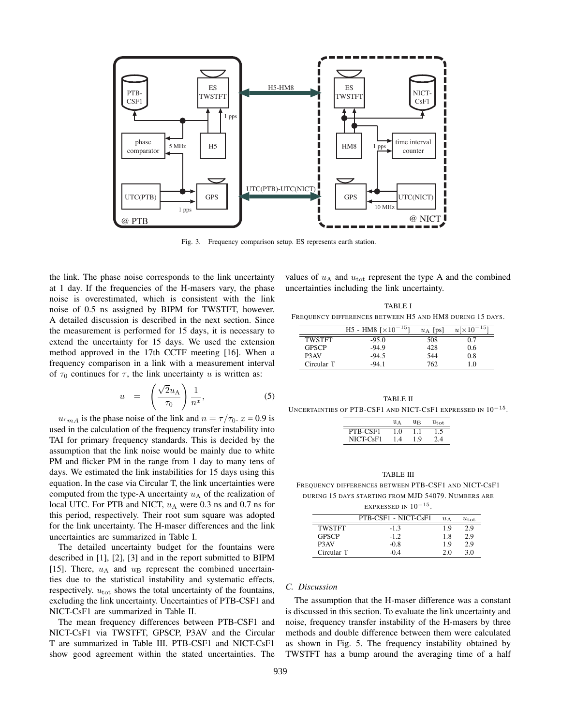

Fig. 3. Frequency comparison setup. ES represents earth station.

the link. The phase noise corresponds to the link uncertainty at 1 day. If the frequencies of the H-masers vary, the phase noise is overestimated, which is consistent with the link noise of 0.5 ns assigned by BIPM for TWSTFT, however. A detailed discussion is described in the next section. Since the measurement is performed for 15 days, it is necessary to extend the uncertainty for 15 days. We used the extension method approved in the 17th CCTF meeting [16]. When a frequency comparison in a link with a measurement interval of  $\tau_0$  continues for  $\tau$ , the link uncertainty *u* is written as:

$$
u = \left(\frac{\sqrt{2}u_{\rm A}}{\tau_0}\right)\frac{1}{n^x},\tag{5}
$$

 $u_{r}$ *nA* is the phase noise of the link and  $n = \tau / \tau_0$ .  $x = 0.9$  is used in the calculation of the frequency transfer instability into TAI for primary frequency standards. This is decided by the assumption that the link noise would be mainly due to white PM and flicker PM in the range from 1 day to many tens of days. We estimated the link instabilities for 15 days using this equation. In the case via Circular T, the link uncertainties were computed from the type-A uncertainty  $u_A$  of the realization of local UTC. For PTB and NICT,  $u_A$  were 0.3 ns and 0.7 ns for this period, respectively. Their root sum square was adopted for the link uncertainty. The H-maser differences and the link uncertainties are summarized in Table I.

The detailed uncertainty budget for the fountains were described in [1], [2], [3] and in the report submitted to BIPM [15]. There,  $u_A$  and  $u_B$  represent the combined uncertainties due to the statistical instability and systematic effects, respectively.  $u_{\text{tot}}$  shows the total uncertainty of the fountains, excluding the link uncertainty. Uncertainties of PTB-CSF1 and NICT-CsF1 are summarized in Table II.

The mean frequency differences between PTB-CSF1 and NICT-CsF1 via TWSTFT, GPSCP, P3AV and the Circular T are summarized in Table III. PTB-CSF1 and NICT-CsF1 show good agreement within the stated uncertainties. The

values of  $u_A$  and  $u_{\text{tot}}$  represent the type A and the combined uncertainties including the link uncertainty.

TABLE I FREQUENCY DIFFERENCES BETWEEN H5 AND HM8 DURING 15 DAYS.

|                   | $H5 - HMS$ [ $\times 10^{-15}$ ] | $u_A$ [ps] | $ u  \times 10^{-15}$ |
|-------------------|----------------------------------|------------|-----------------------|
| <b>TWSTFT</b>     | $-95.0$                          | 508        | 0.7                   |
| <b>GPSCP</b>      | $-94.9$                          | 428        | 0.6                   |
| P <sub>3</sub> AV | $-94.5$                          | 544        | 0.8                   |
| Circular T        | $-94.1$                          | 762        | 1.0                   |

TABLE II UNCERTAINTIES OF PTB-CSF1 AND NICT-CSF1 EXPRESSED IN 10*−*<sup>15</sup> .

|           |          | uв | $u_{\rm tot}$ |
|-----------|----------|----|---------------|
| PTB-CSF1  | - 0      |    |               |
| NICT-CsF1 | $\Delta$ |    |               |

TABLE III FREQUENCY DIFFERENCES BETWEEN PTB-CSF1 AND NICT-CSF1 DURING 15 DAYS STARTING FROM MJD 54079. NUMBERS ARE EXPRESSED IN 10*−*<sup>15</sup>

|                   | EXPRESSED IN $10^{-15}$ |              |               |
|-------------------|-------------------------|--------------|---------------|
|                   | PTB-CSF1 - NICT-CsF1    | $u_{\Delta}$ | $u_{\rm tot}$ |
| <b>TWSTFT</b>     | $-1.3$                  | 19           | 2.9           |
| <b>GPSCP</b>      | $-1.2$                  | 1.8          | 2.9           |
| P <sub>3</sub> AV | $-0.8$                  | 19           | 2.9           |
| Circular T        | -04                     | 2.0          | 30            |

### *C. Discussion*

The assumption that the H-maser difference was a constant is discussed in this section. To evaluate the link uncertainty and noise, frequency transfer instability of the H-masers by three methods and double difference between them were calculated as shown in Fig. 5. The frequency instability obtained by TWSTFT has a bump around the averaging time of a half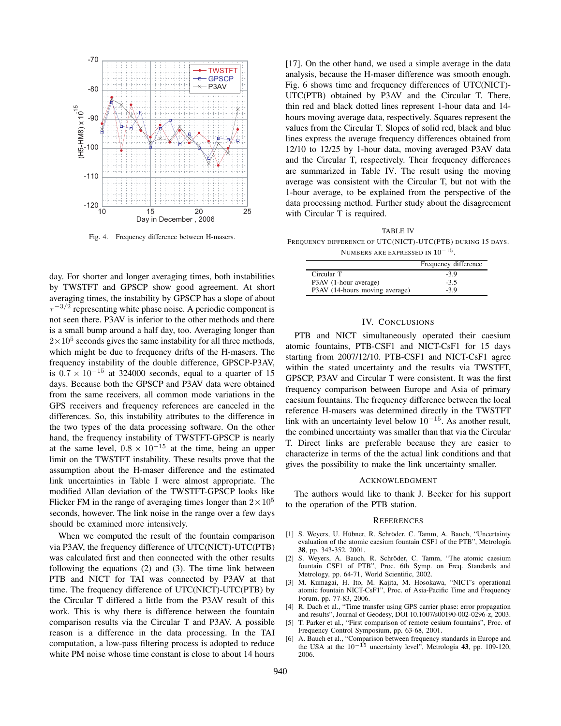

Fig. 4. Frequency difference between H-masers.

day. For shorter and longer averaging times, both instabilities by TWSTFT and GPSCP show good agreement. At short averaging times, the instability by GPSCP has a slope of about *τ −*3*/*2 representing white phase noise. A periodic component is not seen there. P3AV is inferior to the other methods and there is a small bump around a half day, too. Averaging longer than  $2 \times 10^5$  seconds gives the same instability for all three methods, which might be due to frequency drifts of the H-masers. The frequency instability of the double difference, GPSCP-P3AV, is  $0.7 \times 10^{-15}$  at 324000 seconds, equal to a quarter of 15 days. Because both the GPSCP and P3AV data were obtained from the same receivers, all common mode variations in the GPS receivers and frequency references are canceled in the differences. So, this instability attributes to the difference in the two types of the data processing software. On the other hand, the frequency instability of TWSTFT-GPSCP is nearly at the same level,  $0.8 \times 10^{-15}$  at the time, being an upper limit on the TWSTFT instability. These results prove that the assumption about the H-maser difference and the estimated link uncertainties in Table I were almost appropriate. The modified Allan deviation of the TWSTFT-GPSCP looks like Flicker FM in the range of averaging times longer than  $2 \times 10^5$ seconds, however. The link noise in the range over a few days should be examined more intensively.

When we computed the result of the fountain comparison via P3AV, the frequency difference of UTC(NICT)-UTC(PTB) was calculated first and then connected with the other results following the equations (2) and (3). The time link between PTB and NICT for TAI was connected by P3AV at that time. The frequency difference of UTC(NICT)-UTC(PTB) by the Circular T differed a little from the P3AV result of this work. This is why there is difference between the fountain comparison results via the Circular T and P3AV. A possible reason is a difference in the data processing. In the TAI computation, a low-pass filtering process is adopted to reduce white PM noise whose time constant is close to about 14 hours [17]. On the other hand, we used a simple average in the data analysis, because the H-maser difference was smooth enough. Fig. 6 shows time and frequency differences of UTC(NICT)- UTC(PTB) obtained by P3AV and the Circular T. There, thin red and black dotted lines represent 1-hour data and 14 hours moving average data, respectively. Squares represent the values from the Circular T. Slopes of solid red, black and blue lines express the average frequency differences obtained from 12/10 to 12/25 by 1-hour data, moving averaged P3AV data and the Circular T, respectively. Their frequency differences are summarized in Table IV. The result using the moving average was consistent with the Circular T, but not with the 1-hour average, to be explained from the perspective of the data processing method. Further study about the disagreement with Circular T is required.

TABLE IV FREQUENCY DIFFERENCE OF UTC(NICT)-UTC(PTB) DURING 15 DAYS. NUMBERS ARE EXPRESSED IN 10*−*<sup>15</sup> .

|                                | Frequency difference |
|--------------------------------|----------------------|
| Circular T                     | $-3.9$               |
| P3AV (1-hour average)          | $-3.5$               |
| P3AV (14-hours moving average) | -39                  |

#### IV. CONCLUSIONS

PTB and NICT simultaneously operated their caesium atomic fountains, PTB-CSF1 and NICT-CsF1 for 15 days starting from 2007/12/10. PTB-CSF1 and NICT-CsF1 agree within the stated uncertainty and the results via TWSTFT, GPSCP, P3AV and Circular T were consistent. It was the first frequency comparison between Europe and Asia of primary caesium fountains. The frequency difference between the local reference H-masers was determined directly in the TWSTFT link with an uncertainty level below 10*−*<sup>15</sup>. As another result, the combined uncertainty was smaller than that via the Circular T. Direct links are preferable because they are easier to characterize in terms of the the actual link conditions and that gives the possibility to make the link uncertainty smaller.

#### ACKNOWLEDGMENT

The authors would like to thank J. Becker for his support to the operation of the PTB station.

#### **REFERENCES**

- [1] S. Weyers, U. Hübner, R. Schröder, C. Tamm, A. Bauch, "Uncertainty evaluation of the atomic caesium fountain CSF1 of the PTB", Metrologia 38, pp. 343-352, 2001.
- [2] S. Weyers, A. Bauch, R. Schröder, C. Tamm, "The atomic caesium fountain CSF1 of PTB", Proc. 6th Symp. on Freq. Standards and Metrology, pp. 64-71, World Scientific, 2002.
- [3] M. Kumagai, H. Ito, M. Kajita, M. Hosokawa, "NICT's operational atomic fountain NICT-CsF1", Proc. of Asia-Pacific Time and Frequency Forum, pp. 77-83, 2006.
- [4] R. Dach et al., "Time transfer using GPS carrier phase: error propagation and results", Journal of Geodesy, DOI 10.1007/s00190-002-0296-z, 2003.
- [5] T. Parker et al., "First comparison of remote cesium fountains", Proc. of Frequency Control Symposium, pp. 63-68, 2001.
- [6] A. Bauch et al., "Comparison between frequency standards in Europe and the USA at the 10*−*<sup>15</sup> uncertainty level", Metrologia 43, pp. 109-120, 2006.